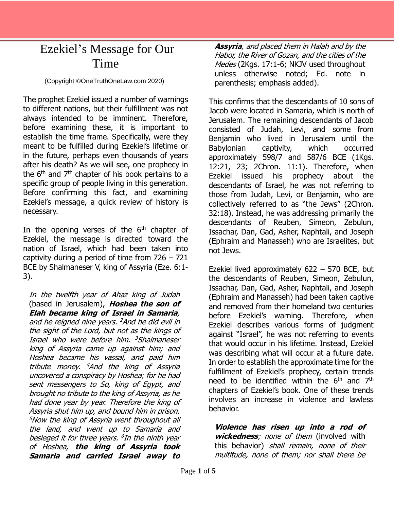## Ezekiel's Message for Our Time

(Copyright ©OneTruthOneLaw.com 2020)

The prophet Ezekiel issued a number of warnings to different nations, but their fulfillment was not always intended to be imminent. Therefore, before examining these, it is important to establish the time frame. Specifically, were they meant to be fulfilled during Ezekiel's lifetime or in the future, perhaps even thousands of years after his death? As we will see, one prophecy in the  $6<sup>th</sup>$  and  $7<sup>th</sup>$  chapter of his book pertains to a specific group of people living in this generation. Before confirming this fact, and examining Ezekiel's message, a quick review of history is necessary.

In the opening verses of the  $6<sup>th</sup>$  chapter of Ezekiel, the message is directed toward the nation of Israel, which had been taken into captivity during a period of time from  $726 - 721$ BCE by Shalmaneser V, king of Assyria (Eze. 6:1- 3).

In the twelfth year of Ahaz king of Judah (based in Jerusalem), **Hoshea the son of Elah became king of Israel in Samaria**, and he reigned nine years. <sup>2</sup>And he did evil in the sight of the Lord, but not as the kings of Israel who were before him. <sup>3</sup>Shalmaneser king of Assyria came up against him; and Hoshea became his vassal, and paid him tribute money. <sup>4</sup>And the king of Assyria uncovered a conspiracy by Hoshea; for he had sent messengers to So, king of Egypt, and brought no tribute to the king of Assyria, as he had done year by year. Therefore the king of Assyria shut him up, and bound him in prison. <sup>5</sup>Now the king of Assyria went throughout all the land, and went up to Samaria and besieged it for three years. 6 In the ninth year of Hoshea, **the king of Assyria took Samaria and carried Israel away to** 

**Assyria**, and placed them in Halah and by the Habor, the River of Gozan, and the cities of the Medes (2Kgs. 17:1-6; NKJV used throughout unless otherwise noted; Ed. note in parenthesis; emphasis added).

This confirms that the descendants of 10 sons of Jacob were located in Samaria, which is north of Jerusalem. The remaining descendants of Jacob consisted of Judah, Levi, and some from Benjamin who lived in Jerusalem until the Babylonian captivity, which occurred approximately 598/7 and 587/6 BCE (1Kgs. 12:21, 23; 2Chron. 11:1). Therefore, when Ezekiel issued his prophecy about the descendants of Israel, he was not referring to those from Judah, Levi, or Benjamin, who are collectively referred to as "the Jews" (2Chron. 32:18). Instead, he was addressing primarily the descendants of Reuben, Simeon, Zebulun, Issachar, Dan, Gad, Asher, Naphtali, and Joseph (Ephraim and Manasseh) who are Israelites, but not Jews.

Ezekiel lived approximately 622 – 570 BCE, but the descendants of Reuben, Simeon, Zebulun, Issachar, Dan, Gad, Asher, Naphtali, and Joseph (Ephraim and Manasseh) had been taken captive and removed from their homeland two centuries before Ezekiel's warning. Therefore, when Ezekiel describes various forms of judgment against "Israel", he was not referring to events that would occur in his lifetime. Instead, Ezekiel was describing what will occur at a future date. In order to establish the approximate time for the fulfillment of Ezekiel's prophecy, certain trends need to be identified within the 6<sup>th</sup> and 7<sup>th</sup> chapters of Ezekiel's book. One of these trends involves an increase in violence and lawless behavior.

**Violence has risen up into a rod of wickedness**; none of them (involved with this behavior) shall remain, none of their multitude, none of them; nor shall there be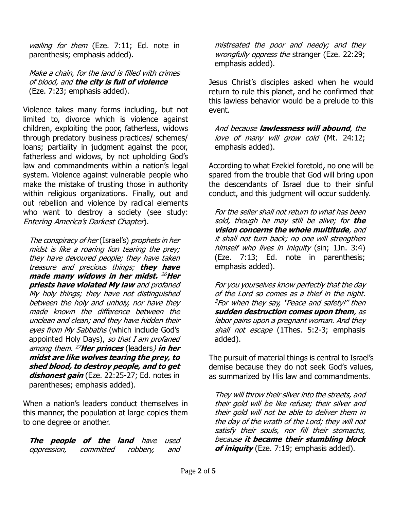wailing for them (Eze. 7:11; Ed. note in parenthesis; emphasis added).

## Make a chain, for the land is filled with crimes of blood, and **the city is full of violence** (Eze. 7:23; emphasis added).

Violence takes many forms including, but not limited to, divorce which is violence against children, exploiting the poor, fatherless, widows through predatory business practices/ schemes/ loans; partiality in judgment against the poor, fatherless and widows, by not upholding God's law and commandments within a nation's legal system. Violence against vulnerable people who make the mistake of trusting those in authority within religious organizations. Finally, out and out rebellion and violence by radical elements who want to destroy a society (see study: Entering America's Darkest Chapter).

The conspiracy of her (Israel's) prophets in her midst is like a roaring lion tearing the prey; they have devoured people; they have taken treasure and precious things; **they have made many widows in her midst.** <sup>26</sup>**Her priests have violated My law** and profaned My holy things; they have not distinguished between the holy and unholy, nor have they made known the difference between the unclean and clean; and they have hidden their eyes from My Sabbaths (which include God's appointed Holy Days), so that I am profaned among them. <sup>27</sup>**Her princes** (leaders) **in her midst are like wolves tearing the prey, to shed blood, to destroy people, and to get dishonest gain** (Eze. 22:25-27; Ed. notes in parentheses; emphasis added).

When a nation's leaders conduct themselves in this manner, the population at large copies them to one degree or another.

**The people of the land** have used oppression, committed robbery, and mistreated the poor and needy; and they wrongfully oppress the stranger (Eze. 22:29; emphasis added).

Jesus Christ's disciples asked when he would return to rule this planet, and he confirmed that this lawless behavior would be a prelude to this event.

And because **lawlessness will abound**, the love of many will grow cold (Mt. 24:12; emphasis added).

According to what Ezekiel foretold, no one will be spared from the trouble that God will bring upon the descendants of Israel due to their sinful conduct, and this judgment will occur suddenly.

For the seller shall not return to what has been sold, though he may still be alive; for **the vision concerns the whole multitude**, and it shall not turn back; no one will strengthen himself who lives in iniquity (sin; 1Jn. 3:4) (Eze. 7:13; Ed. note in parenthesis; emphasis added).

For you yourselves know perfectly that the day of the Lord so comes as a thief in the night.  $3$ For when they say, "Peace and safety!" then **sudden destruction comes upon them**, as labor pains upon a pregnant woman. And they shall not escape (1Thes. 5:2-3; emphasis added).

The pursuit of material things is central to Israel's demise because they do not seek God's values, as summarized by His law and commandments.

They will throw their silver into the streets, and their gold will be like refuse; their silver and their gold will not be able to deliver them in the day of the wrath of the Lord; they will not satisfy their souls, nor fill their stomachs, because **it became their stumbling block of iniquity** (Eze. 7:19; emphasis added).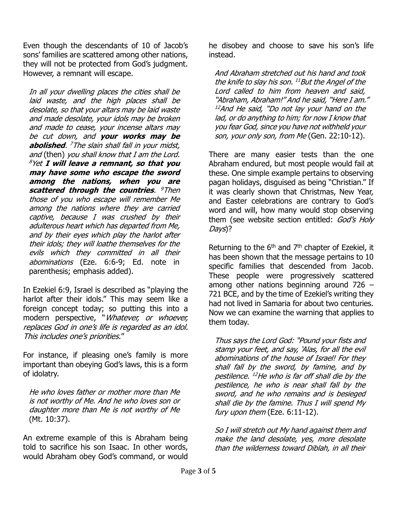Even though the descendants of 10 of Jacob's sons' families are scattered among other nations, they will not be protected from God's judgment. However, a remnant will escape.

In all your dwelling places the cities shall be laid waste, and the high places shall be desolate, so that your altars may be laid waste and made desolate, your idols may be broken and made to cease, your incense altars may be cut down, and **your works may be abolished**. <sup>7</sup>The slain shall fall in your midst, and (then) you shall know that I am the Lord. <sup>8</sup>Yet **I will leave a remnant, so that you may have some who escape the sword among the nations, when you are scattered through the countries**. <sup>9</sup>Then those of you who escape will remember Me among the nations where they are carried captive, because I was crushed by their adulterous heart which has departed from Me, and by their eyes which play the harlot after their idols; they will loathe themselves for the evils which they committed in all their abominations (Eze. 6:6-9; Ed. note in parenthesis; emphasis added).

In Ezekiel 6:9, Israel is described as "playing the harlot after their idols." This may seem like a foreign concept today; so putting this into a modern perspective, "Whatever, or whoever, replaces God in one's life is regarded as an idol. This includes one's priorities."

For instance, if pleasing one's family is more important than obeying God's laws, this is a form of idolatry.

He who loves father or mother more than Me is not worthy of Me. And he who loves son or daughter more than Me is not worthy of Me (Mt. 10:37).

An extreme example of this is Abraham being told to sacrifice his son Isaac. In other words, would Abraham obey God's command, or would

he disobey and choose to save his son's life instead.

And Abraham stretched out his hand and took the knife to slay his son. <sup>11</sup>But the Angel of the Lord called to him from heaven and said, "Abraham, Abraham!" And he said, "Here I am." <sup>12</sup>And He said, "Do not lay your hand on the lad, or do anything to him; for now I know that you fear God, since you have not withheld your son, your only son, from Me (Gen. 22:10-12).

There are many easier tests than the one Abraham endured, but most people would fail at these. One simple example pertains to observing pagan holidays, disguised as being "Christian." If it was clearly shown that Christmas, New Year, and Easter celebrations are contrary to God's word and will, how many would stop observing them (see website section entitled: God's Holy Days)?

Returning to the  $6<sup>th</sup>$  and  $7<sup>th</sup>$  chapter of Ezekiel, it has been shown that the message pertains to 10 specific families that descended from Jacob. These people were progressively scattered among other nations beginning around 726 – 721 BCE, and by the time of Ezekiel's writing they had not lived in Samaria for about two centuries. Now we can examine the warning that applies to them today.

Thus says the Lord God: "Pound your fists and stamp your feet, and say, 'Alas, for all the evil abominations of the house of Israel! For they shall fall by the sword, by famine, and by pestilence. <sup>12</sup>He who is far off shall die by the pestilence, he who is near shall fall by the sword, and he who remains and is besieged shall die by the famine. Thus I will spend My fury upon them (Eze. 6:11-12).

So I will stretch out My hand against them and make the land desolate, yes, more desolate than the wilderness toward Diblah, in all their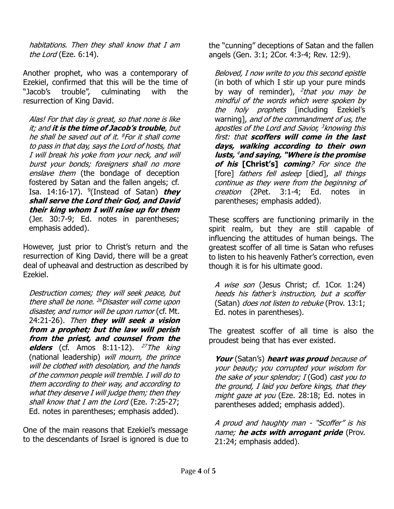habitations. Then they shall know that I am the Lord (Eze. 6:14).

Another prophet, who was a contemporary of Ezekiel, confirmed that this will be the time of "Jacob's trouble", culminating with the resurrection of King David.

Alas! For that day is great, so that none is like it; and **it is the time of Jacob's trouble**, but he shall be saved out of it. <sup>8</sup> For it shall come to pass in that day, says the Lord of hosts, that I will break his yoke from your neck, and will burst your bonds; foreigners shall no more enslave them (the bondage of deception fostered by Satan and the fallen angels; cf. Isa. 14:16-17). <sup>9</sup> (Instead of Satan) **they shall serve the Lord their God, and David their king whom I will raise up for them** (Jer. 30:7-9; Ed. notes in parentheses; emphasis added).

However, just prior to Christ's return and the resurrection of King David, there will be a great deal of upheaval and destruction as described by Ezekiel.

Destruction comes; they will seek peace, but there shall be none. <sup>26</sup>Disaster will come upon disaster, and rumor will be upon rumor (cf. Mt. 24:21-26). Then **they will seek a vision from a prophet; but the law will perish from the priest, and counsel from the elders** (cf. Amos  $8:11-12$ ). <sup>27</sup>The king (national leadership) will mourn, the prince will be clothed with desolation, and the hands of the common people will tremble. I will do to them according to their way, and according to what they deserve I will judge them; then they shall know that I am the Lord (Eze. 7:25-27; Ed. notes in parentheses; emphasis added).

One of the main reasons that Ezekiel's message to the descendants of Israel is ignored is due to the "cunning" deceptions of Satan and the fallen angels (Gen. 3:1; 2Cor. 4:3-4; Rev. 12:9).

Beloved, I now write to you this second epistle (in both of which I stir up your pure minds by way of reminder), <sup>2</sup>that you may be mindful of the words which were spoken by the holy prophets [including Ezekiel's warning], and of the commandment of us, the apostles of the Lord and Savior, <sup>3</sup> knowing this first: that **scoffers will come in the last days, walking according to their own lusts,**  <sup>4</sup>**and saying, "Where is the promise of his [Christ's] coming**? For since the [fore] fathers fell asleep [died], all things continue as they were from the beginning of creation (2Pet. 3:1-4; Ed. notes in parentheses; emphasis added).

These scoffers are functioning primarily in the spirit realm, but they are still capable of influencing the attitudes of human beings. The greatest scoffer of all time is Satan who refuses to listen to his heavenly Father's correction, even though it is for his ultimate good.

A wise son (Jesus Christ; cf. 1Cor. 1:24) heeds his father's instruction, but a scoffer (Satan) *does not listen to rebuke* (Prov. 13:1; Ed. notes in parentheses).

The greatest scoffer of all time is also the proudest being that has ever existed.

**Your** (Satan's) **heart was proud** because of your beauty; you corrupted your wisdom for the sake of your splendor;  $I(God)$  cast you to the ground, I laid you before kings, that they might gaze at you (Eze. 28:18; Ed. notes in parentheses added; emphasis added).

A proud and haughty man - "Scoffer" is his name; **he acts with arrogant pride** (Prov. 21:24; emphasis added).